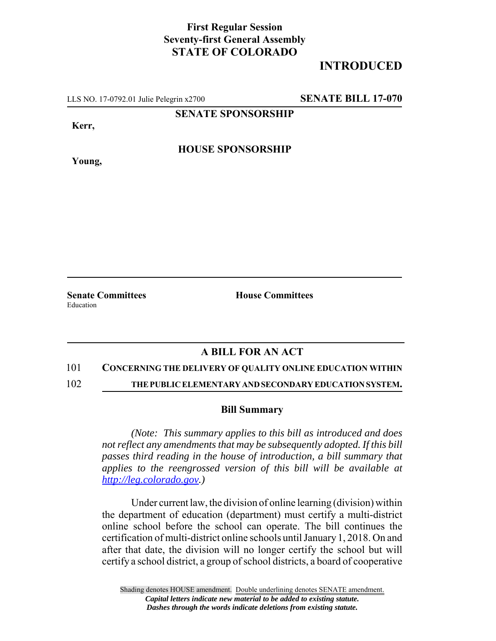## **First Regular Session Seventy-first General Assembly STATE OF COLORADO**

# **INTRODUCED**

LLS NO. 17-0792.01 Julie Pelegrin x2700 **SENATE BILL 17-070**

**SENATE SPONSORSHIP**

**Kerr,**

**Young,**

**HOUSE SPONSORSHIP**

**Senate Committees House Committees** Education

### **A BILL FOR AN ACT**

### 101 **CONCERNING THE DELIVERY OF QUALITY ONLINE EDUCATION WITHIN**

102 **THE PUBLIC ELEMENTARY AND SECONDARY EDUCATION SYSTEM.**

### **Bill Summary**

*(Note: This summary applies to this bill as introduced and does not reflect any amendments that may be subsequently adopted. If this bill passes third reading in the house of introduction, a bill summary that applies to the reengrossed version of this bill will be available at http://leg.colorado.gov.)*

Under current law, the division of online learning (division) within the department of education (department) must certify a multi-district online school before the school can operate. The bill continues the certification of multi-district online schools until January 1, 2018. On and after that date, the division will no longer certify the school but will certify a school district, a group of school districts, a board of cooperative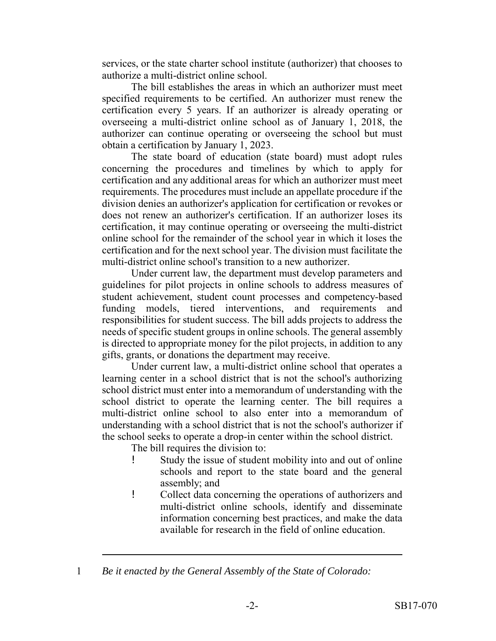services, or the state charter school institute (authorizer) that chooses to authorize a multi-district online school.

The bill establishes the areas in which an authorizer must meet specified requirements to be certified. An authorizer must renew the certification every 5 years. If an authorizer is already operating or overseeing a multi-district online school as of January 1, 2018, the authorizer can continue operating or overseeing the school but must obtain a certification by January 1, 2023.

The state board of education (state board) must adopt rules concerning the procedures and timelines by which to apply for certification and any additional areas for which an authorizer must meet requirements. The procedures must include an appellate procedure if the division denies an authorizer's application for certification or revokes or does not renew an authorizer's certification. If an authorizer loses its certification, it may continue operating or overseeing the multi-district online school for the remainder of the school year in which it loses the certification and for the next school year. The division must facilitate the multi-district online school's transition to a new authorizer.

Under current law, the department must develop parameters and guidelines for pilot projects in online schools to address measures of student achievement, student count processes and competency-based funding models, tiered interventions, and requirements and responsibilities for student success. The bill adds projects to address the needs of specific student groups in online schools. The general assembly is directed to appropriate money for the pilot projects, in addition to any gifts, grants, or donations the department may receive.

Under current law, a multi-district online school that operates a learning center in a school district that is not the school's authorizing school district must enter into a memorandum of understanding with the school district to operate the learning center. The bill requires a multi-district online school to also enter into a memorandum of understanding with a school district that is not the school's authorizer if the school seeks to operate a drop-in center within the school district.

The bill requires the division to:

- ! Study the issue of student mobility into and out of online schools and report to the state board and the general assembly; and
- ! Collect data concerning the operations of authorizers and multi-district online schools, identify and disseminate information concerning best practices, and make the data available for research in the field of online education.

1 *Be it enacted by the General Assembly of the State of Colorado:*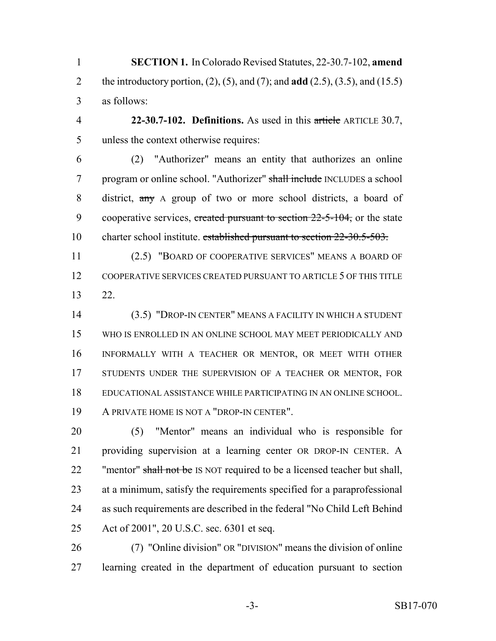**SECTION 1.** In Colorado Revised Statutes, 22-30.7-102, **amend** the introductory portion, (2), (5), and (7); and **add** (2.5), (3.5), and (15.5) as follows:

 **22-30.7-102. Definitions.** As used in this article ARTICLE 30.7, unless the context otherwise requires:

 (2) "Authorizer" means an entity that authorizes an online 7 program or online school. "Authorizer" shall include INCLUDES a school district, any A group of two or more school districts, a board of 9 cooperative services, created pursuant to section 22-5-104, or the state 10 charter school institute. established pursuant to section 22-30.5-503.

 (2.5) "BOARD OF COOPERATIVE SERVICES" MEANS A BOARD OF COOPERATIVE SERVICES CREATED PURSUANT TO ARTICLE 5 OF THIS TITLE 22.

 (3.5) "DROP-IN CENTER" MEANS A FACILITY IN WHICH A STUDENT WHO IS ENROLLED IN AN ONLINE SCHOOL MAY MEET PERIODICALLY AND INFORMALLY WITH A TEACHER OR MENTOR, OR MEET WITH OTHER 17 STUDENTS UNDER THE SUPERVISION OF A TEACHER OR MENTOR, FOR EDUCATIONAL ASSISTANCE WHILE PARTICIPATING IN AN ONLINE SCHOOL. A PRIVATE HOME IS NOT A "DROP-IN CENTER".

 (5) "Mentor" means an individual who is responsible for providing supervision at a learning center OR DROP-IN CENTER. A 22 "mentor" shall not be IS NOT required to be a licensed teacher but shall, at a minimum, satisfy the requirements specified for a paraprofessional as such requirements are described in the federal "No Child Left Behind Act of 2001", 20 U.S.C. sec. 6301 et seq.

 (7) "Online division" OR "DIVISION" means the division of online learning created in the department of education pursuant to section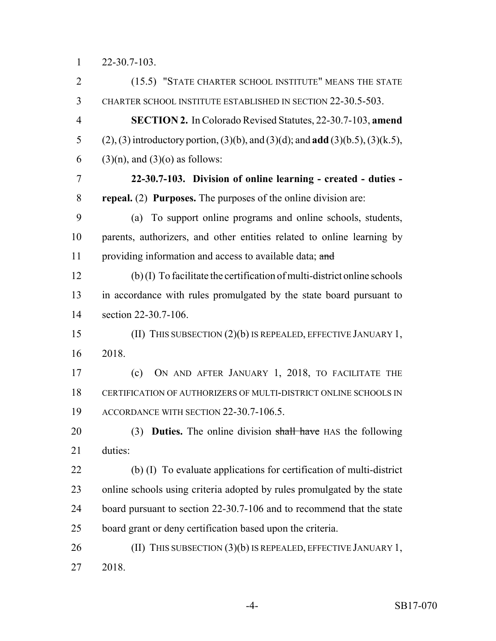22-30.7-103.

 (15.5) "STATE CHARTER SCHOOL INSTITUTE" MEANS THE STATE CHARTER SCHOOL INSTITUTE ESTABLISHED IN SECTION 22-30.5-503. **SECTION 2.** In Colorado Revised Statutes, 22-30.7-103, **amend** (2), (3) introductory portion, (3)(b), and (3)(d); and **add** (3)(b.5), (3)(k.5), 6 (3)(n), and (3)(o) as follows: **22-30.7-103. Division of online learning - created - duties - repeal.** (2) **Purposes.** The purposes of the online division are: (a) To support online programs and online schools, students, parents, authorizers, and other entities related to online learning by 11 providing information and access to available data; and (b) (I) To facilitate the certification of multi-district online schools in accordance with rules promulgated by the state board pursuant to section 22-30.7-106. (II) THIS SUBSECTION (2)(b) IS REPEALED, EFFECTIVE JANUARY 1, 2018. (c) ON AND AFTER JANUARY 1, 2018, TO FACILITATE THE CERTIFICATION OF AUTHORIZERS OF MULTI-DISTRICT ONLINE SCHOOLS IN ACCORDANCE WITH SECTION 22-30.7-106.5. (3) **Duties.** The online division shall have HAS the following duties: (b) (I) To evaluate applications for certification of multi-district online schools using criteria adopted by rules promulgated by the state board pursuant to section 22-30.7-106 and to recommend that the state board grant or deny certification based upon the criteria. 26 (II) THIS SUBSECTION (3)(b) IS REPEALED, EFFECTIVE JANUARY 1, 2018.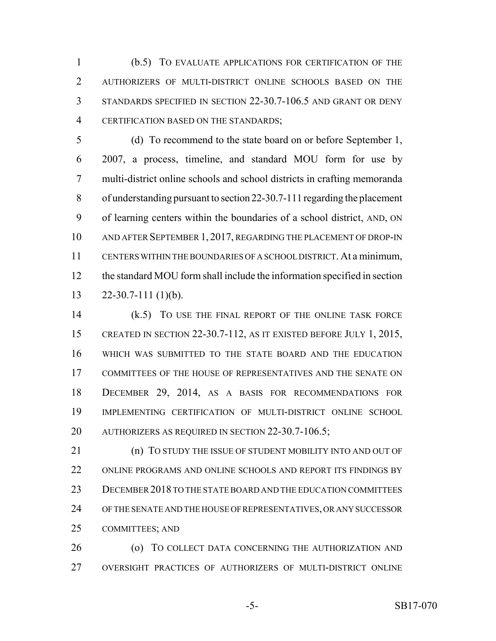(b.5) TO EVALUATE APPLICATIONS FOR CERTIFICATION OF THE AUTHORIZERS OF MULTI-DISTRICT ONLINE SCHOOLS BASED ON THE STANDARDS SPECIFIED IN SECTION 22-30.7-106.5 AND GRANT OR DENY CERTIFICATION BASED ON THE STANDARDS;

 (d) To recommend to the state board on or before September 1, 2007, a process, timeline, and standard MOU form for use by multi-district online schools and school districts in crafting memoranda of understanding pursuant to section 22-30.7-111 regarding the placement of learning centers within the boundaries of a school district, AND, ON AND AFTER SEPTEMBER 1, 2017, REGARDING THE PLACEMENT OF DROP-IN CENTERS WITHIN THE BOUNDARIES OF A SCHOOL DISTRICT. At a minimum, the standard MOU form shall include the information specified in section 22-30.7-111 (1)(b).

 (k.5) TO USE THE FINAL REPORT OF THE ONLINE TASK FORCE CREATED IN SECTION 22-30.7-112, AS IT EXISTED BEFORE JULY 1, 2015, WHICH WAS SUBMITTED TO THE STATE BOARD AND THE EDUCATION COMMITTEES OF THE HOUSE OF REPRESENTATIVES AND THE SENATE ON DECEMBER 29, 2014, AS A BASIS FOR RECOMMENDATIONS FOR IMPLEMENTING CERTIFICATION OF MULTI-DISTRICT ONLINE SCHOOL AUTHORIZERS AS REQUIRED IN SECTION 22-30.7-106.5;

**(n) TO STUDY THE ISSUE OF STUDENT MOBILITY INTO AND OUT OF**  ONLINE PROGRAMS AND ONLINE SCHOOLS AND REPORT ITS FINDINGS BY DECEMBER 2018 TO THE STATE BOARD AND THE EDUCATION COMMITTEES OF THE SENATE AND THE HOUSE OF REPRESENTATIVES, OR ANY SUCCESSOR COMMITTEES; AND

 (o) TO COLLECT DATA CONCERNING THE AUTHORIZATION AND OVERSIGHT PRACTICES OF AUTHORIZERS OF MULTI-DISTRICT ONLINE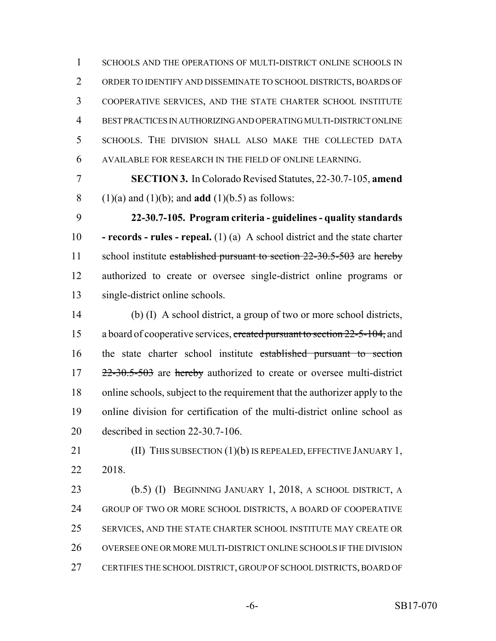SCHOOLS AND THE OPERATIONS OF MULTI-DISTRICT ONLINE SCHOOLS IN ORDER TO IDENTIFY AND DISSEMINATE TO SCHOOL DISTRICTS, BOARDS OF COOPERATIVE SERVICES, AND THE STATE CHARTER SCHOOL INSTITUTE BEST PRACTICES IN AUTHORIZING AND OPERATING MULTI-DISTRICT ONLINE SCHOOLS. THE DIVISION SHALL ALSO MAKE THE COLLECTED DATA AVAILABLE FOR RESEARCH IN THE FIELD OF ONLINE LEARNING.

 **SECTION 3.** In Colorado Revised Statutes, 22-30.7-105, **amend** (1)(a) and (1)(b); and **add** (1)(b.5) as follows:

 **22-30.7-105. Program criteria - guidelines - quality standards - records - rules - repeal.** (1) (a) A school district and the state charter 11 school institute established pursuant to section 22-30.5-503 are hereby authorized to create or oversee single-district online programs or single-district online schools.

 (b) (I) A school district, a group of two or more school districts, 15 a board of cooperative services, created pursuant to section 22-5-104, and the state charter school institute established pursuant to section 17 22-30.5-503 are hereby authorized to create or oversee multi-district online schools, subject to the requirement that the authorizer apply to the online division for certification of the multi-district online school as described in section 22-30.7-106.

**(II) THIS SUBSECTION (1)(b) IS REPEALED, EFFECTIVE JANUARY 1,** 2018.

 (b.5) (I) BEGINNING JANUARY 1, 2018, A SCHOOL DISTRICT, A GROUP OF TWO OR MORE SCHOOL DISTRICTS, A BOARD OF COOPERATIVE SERVICES, AND THE STATE CHARTER SCHOOL INSTITUTE MAY CREATE OR OVERSEE ONE OR MORE MULTI-DISTRICT ONLINE SCHOOLS IF THE DIVISION CERTIFIES THE SCHOOL DISTRICT, GROUP OF SCHOOL DISTRICTS, BOARD OF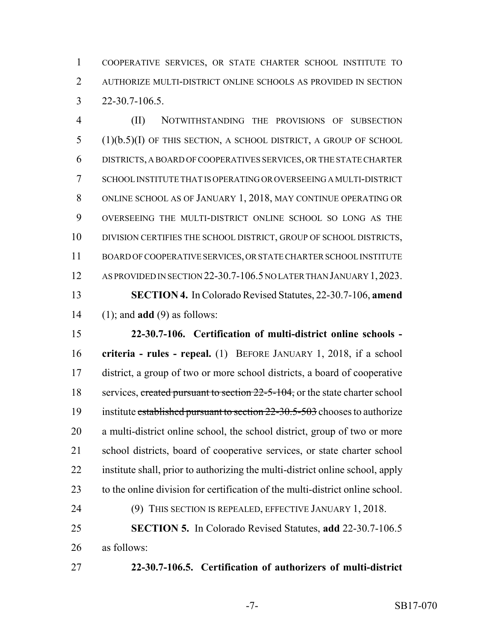COOPERATIVE SERVICES, OR STATE CHARTER SCHOOL INSTITUTE TO AUTHORIZE MULTI-DISTRICT ONLINE SCHOOLS AS PROVIDED IN SECTION 22-30.7-106.5.

 (II) NOTWITHSTANDING THE PROVISIONS OF SUBSECTION (1)(b.5)(I) OF THIS SECTION, A SCHOOL DISTRICT, A GROUP OF SCHOOL DISTRICTS, A BOARD OF COOPERATIVES SERVICES, OR THE STATE CHARTER SCHOOL INSTITUTE THAT IS OPERATING OR OVERSEEING A MULTI-DISTRICT ONLINE SCHOOL AS OF JANUARY 1, 2018, MAY CONTINUE OPERATING OR OVERSEEING THE MULTI-DISTRICT ONLINE SCHOOL SO LONG AS THE 10 DIVISION CERTIFIES THE SCHOOL DISTRICT, GROUP OF SCHOOL DISTRICTS, BOARD OF COOPERATIVE SERVICES, OR STATE CHARTER SCHOOL INSTITUTE 12 AS PROVIDED IN SECTION 22-30.7-106.5 NO LATER THAN JANUARY 1, 2023. **SECTION 4.** In Colorado Revised Statutes, 22-30.7-106, **amend** (1); and **add** (9) as follows:

 **22-30.7-106. Certification of multi-district online schools - criteria - rules - repeal.** (1) BEFORE JANUARY 1, 2018, if a school district, a group of two or more school districts, a board of cooperative 18 services, created pursuant to section 22-5-104, or the state charter school 19 institute established pursuant to section 22-30.5-503 chooses to authorize a multi-district online school, the school district, group of two or more school districts, board of cooperative services, or state charter school institute shall, prior to authorizing the multi-district online school, apply to the online division for certification of the multi-district online school. (9) THIS SECTION IS REPEALED, EFFECTIVE JANUARY 1, 2018. **SECTION 5.** In Colorado Revised Statutes, **add** 22-30.7-106.5

as follows:

**22-30.7-106.5. Certification of authorizers of multi-district**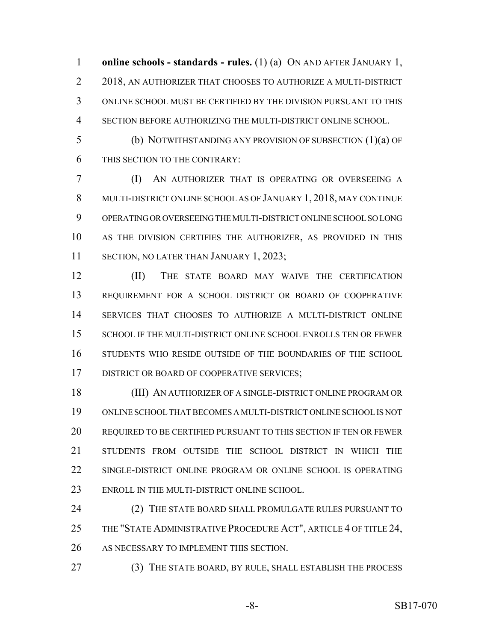**online schools - standards - rules.** (1) (a) ON AND AFTER JANUARY 1, 2018, AN AUTHORIZER THAT CHOOSES TO AUTHORIZE A MULTI-DISTRICT ONLINE SCHOOL MUST BE CERTIFIED BY THE DIVISION PURSUANT TO THIS SECTION BEFORE AUTHORIZING THE MULTI-DISTRICT ONLINE SCHOOL.

 (b) NOTWITHSTANDING ANY PROVISION OF SUBSECTION (1)(a) OF THIS SECTION TO THE CONTRARY:

 (I) AN AUTHORIZER THAT IS OPERATING OR OVERSEEING A MULTI-DISTRICT ONLINE SCHOOL AS OF JANUARY 1, 2018, MAY CONTINUE OPERATING OR OVERSEEING THE MULTI-DISTRICT ONLINE SCHOOL SO LONG AS THE DIVISION CERTIFIES THE AUTHORIZER, AS PROVIDED IN THIS 11 SECTION, NO LATER THAN JANUARY 1, 2023;

 (II) THE STATE BOARD MAY WAIVE THE CERTIFICATION REQUIREMENT FOR A SCHOOL DISTRICT OR BOARD OF COOPERATIVE SERVICES THAT CHOOSES TO AUTHORIZE A MULTI-DISTRICT ONLINE 15 SCHOOL IF THE MULTI-DISTRICT ONLINE SCHOOL ENROLLS TEN OR FEWER STUDENTS WHO RESIDE OUTSIDE OF THE BOUNDARIES OF THE SCHOOL 17 DISTRICT OR BOARD OF COOPERATIVE SERVICES;

 (III) AN AUTHORIZER OF A SINGLE-DISTRICT ONLINE PROGRAM OR ONLINE SCHOOL THAT BECOMES A MULTI-DISTRICT ONLINE SCHOOL IS NOT REQUIRED TO BE CERTIFIED PURSUANT TO THIS SECTION IF TEN OR FEWER STUDENTS FROM OUTSIDE THE SCHOOL DISTRICT IN WHICH THE SINGLE-DISTRICT ONLINE PROGRAM OR ONLINE SCHOOL IS OPERATING ENROLL IN THE MULTI-DISTRICT ONLINE SCHOOL.

24 (2) THE STATE BOARD SHALL PROMULGATE RULES PURSUANT TO 25 THE "STATE ADMINISTRATIVE PROCEDURE ACT", ARTICLE 4 OF TITLE 24, AS NECESSARY TO IMPLEMENT THIS SECTION.

(3) THE STATE BOARD, BY RULE, SHALL ESTABLISH THE PROCESS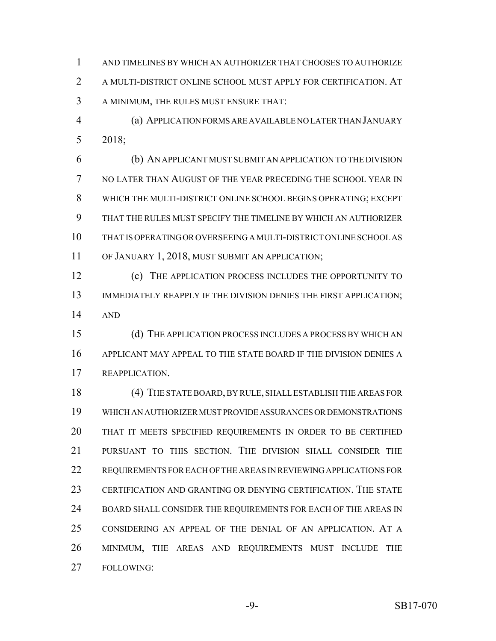AND TIMELINES BY WHICH AN AUTHORIZER THAT CHOOSES TO AUTHORIZE A MULTI-DISTRICT ONLINE SCHOOL MUST APPLY FOR CERTIFICATION. AT A MINIMUM, THE RULES MUST ENSURE THAT:

 (a) APPLICATION FORMS ARE AVAILABLE NO LATER THAN JANUARY 2018;

 (b) AN APPLICANT MUST SUBMIT AN APPLICATION TO THE DIVISION NO LATER THAN AUGUST OF THE YEAR PRECEDING THE SCHOOL YEAR IN WHICH THE MULTI-DISTRICT ONLINE SCHOOL BEGINS OPERATING; EXCEPT THAT THE RULES MUST SPECIFY THE TIMELINE BY WHICH AN AUTHORIZER THAT IS OPERATING OR OVERSEEING A MULTI-DISTRICT ONLINE SCHOOL AS OF JANUARY 1, 2018, MUST SUBMIT AN APPLICATION;

 (c) THE APPLICATION PROCESS INCLUDES THE OPPORTUNITY TO 13 IMMEDIATELY REAPPLY IF THE DIVISION DENIES THE FIRST APPLICATION; AND

 (d) THE APPLICATION PROCESS INCLUDES A PROCESS BY WHICH AN APPLICANT MAY APPEAL TO THE STATE BOARD IF THE DIVISION DENIES A REAPPLICATION.

 (4) THE STATE BOARD, BY RULE, SHALL ESTABLISH THE AREAS FOR WHICH AN AUTHORIZER MUST PROVIDE ASSURANCES OR DEMONSTRATIONS THAT IT MEETS SPECIFIED REQUIREMENTS IN ORDER TO BE CERTIFIED PURSUANT TO THIS SECTION. THE DIVISION SHALL CONSIDER THE REQUIREMENTS FOR EACH OF THE AREAS IN REVIEWING APPLICATIONS FOR CERTIFICATION AND GRANTING OR DENYING CERTIFICATION. THE STATE 24 BOARD SHALL CONSIDER THE REQUIREMENTS FOR EACH OF THE AREAS IN CONSIDERING AN APPEAL OF THE DENIAL OF AN APPLICATION. AT A MINIMUM, THE AREAS AND REQUIREMENTS MUST INCLUDE THE FOLLOWING: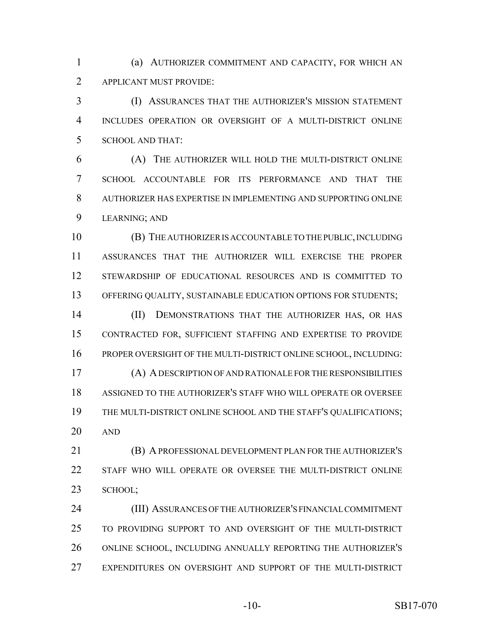(a) AUTHORIZER COMMITMENT AND CAPACITY, FOR WHICH AN APPLICANT MUST PROVIDE:

 (I) ASSURANCES THAT THE AUTHORIZER'S MISSION STATEMENT INCLUDES OPERATION OR OVERSIGHT OF A MULTI-DISTRICT ONLINE SCHOOL AND THAT:

 (A) THE AUTHORIZER WILL HOLD THE MULTI-DISTRICT ONLINE SCHOOL ACCOUNTABLE FOR ITS PERFORMANCE AND THAT THE AUTHORIZER HAS EXPERTISE IN IMPLEMENTING AND SUPPORTING ONLINE LEARNING; AND

 (B) THE AUTHORIZER IS ACCOUNTABLE TO THE PUBLIC, INCLUDING ASSURANCES THAT THE AUTHORIZER WILL EXERCISE THE PROPER STEWARDSHIP OF EDUCATIONAL RESOURCES AND IS COMMITTED TO OFFERING QUALITY, SUSTAINABLE EDUCATION OPTIONS FOR STUDENTS;

14 (II) DEMONSTRATIONS THAT THE AUTHORIZER HAS, OR HAS CONTRACTED FOR, SUFFICIENT STAFFING AND EXPERTISE TO PROVIDE PROPER OVERSIGHT OF THE MULTI-DISTRICT ONLINE SCHOOL, INCLUDING:

 (A) A DESCRIPTION OF AND RATIONALE FOR THE RESPONSIBILITIES ASSIGNED TO THE AUTHORIZER'S STAFF WHO WILL OPERATE OR OVERSEE THE MULTI-DISTRICT ONLINE SCHOOL AND THE STAFF'S QUALIFICATIONS; AND

 (B) A PROFESSIONAL DEVELOPMENT PLAN FOR THE AUTHORIZER'S STAFF WHO WILL OPERATE OR OVERSEE THE MULTI-DISTRICT ONLINE SCHOOL;

 (III) ASSURANCES OF THE AUTHORIZER'S FINANCIAL COMMITMENT TO PROVIDING SUPPORT TO AND OVERSIGHT OF THE MULTI-DISTRICT ONLINE SCHOOL, INCLUDING ANNUALLY REPORTING THE AUTHORIZER'S EXPENDITURES ON OVERSIGHT AND SUPPORT OF THE MULTI-DISTRICT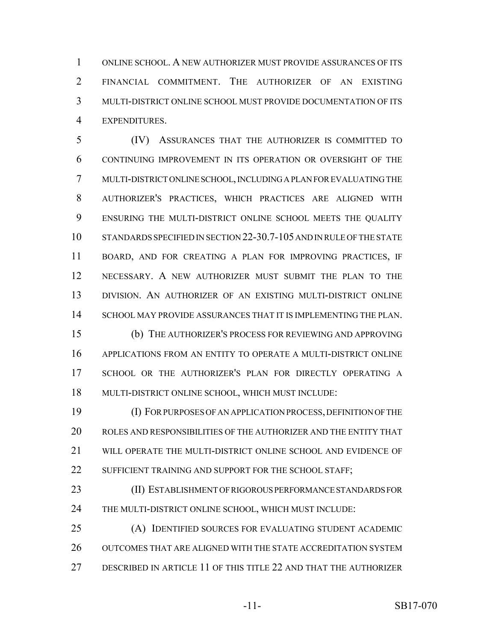ONLINE SCHOOL. A NEW AUTHORIZER MUST PROVIDE ASSURANCES OF ITS FINANCIAL COMMITMENT. THE AUTHORIZER OF AN EXISTING MULTI-DISTRICT ONLINE SCHOOL MUST PROVIDE DOCUMENTATION OF ITS EXPENDITURES.

 (IV) ASSURANCES THAT THE AUTHORIZER IS COMMITTED TO CONTINUING IMPROVEMENT IN ITS OPERATION OR OVERSIGHT OF THE MULTI-DISTRICT ONLINE SCHOOL, INCLUDING A PLAN FOR EVALUATING THE AUTHORIZER'S PRACTICES, WHICH PRACTICES ARE ALIGNED WITH ENSURING THE MULTI-DISTRICT ONLINE SCHOOL MEETS THE QUALITY STANDARDS SPECIFIED IN SECTION 22-30.7-105 AND IN RULE OF THE STATE BOARD, AND FOR CREATING A PLAN FOR IMPROVING PRACTICES, IF NECESSARY. A NEW AUTHORIZER MUST SUBMIT THE PLAN TO THE DIVISION. AN AUTHORIZER OF AN EXISTING MULTI-DISTRICT ONLINE SCHOOL MAY PROVIDE ASSURANCES THAT IT IS IMPLEMENTING THE PLAN. (b) THE AUTHORIZER'S PROCESS FOR REVIEWING AND APPROVING APPLICATIONS FROM AN ENTITY TO OPERATE A MULTI-DISTRICT ONLINE

 SCHOOL OR THE AUTHORIZER'S PLAN FOR DIRECTLY OPERATING A MULTI-DISTRICT ONLINE SCHOOL, WHICH MUST INCLUDE:

 (I) FOR PURPOSES OF AN APPLICATION PROCESS, DEFINITION OF THE ROLES AND RESPONSIBILITIES OF THE AUTHORIZER AND THE ENTITY THAT WILL OPERATE THE MULTI-DISTRICT ONLINE SCHOOL AND EVIDENCE OF 22 SUFFICIENT TRAINING AND SUPPORT FOR THE SCHOOL STAFF;

 (II) ESTABLISHMENT OF RIGOROUS PERFORMANCE STANDARDS FOR THE MULTI-DISTRICT ONLINE SCHOOL, WHICH MUST INCLUDE:

 (A) IDENTIFIED SOURCES FOR EVALUATING STUDENT ACADEMIC OUTCOMES THAT ARE ALIGNED WITH THE STATE ACCREDITATION SYSTEM DESCRIBED IN ARTICLE 11 OF THIS TITLE 22 AND THAT THE AUTHORIZER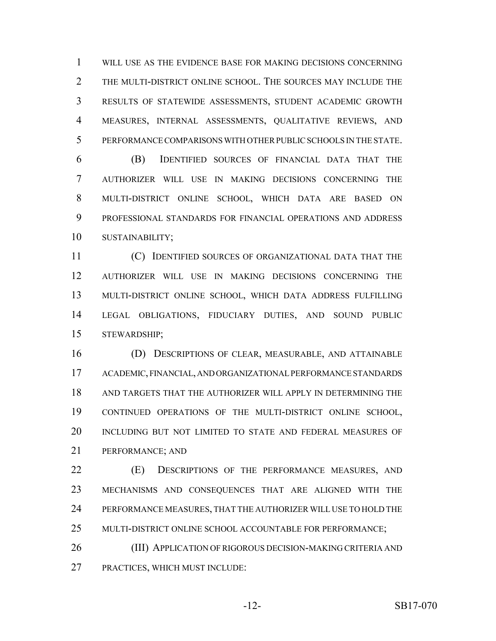WILL USE AS THE EVIDENCE BASE FOR MAKING DECISIONS CONCERNING THE MULTI-DISTRICT ONLINE SCHOOL. THE SOURCES MAY INCLUDE THE RESULTS OF STATEWIDE ASSESSMENTS, STUDENT ACADEMIC GROWTH MEASURES, INTERNAL ASSESSMENTS, QUALITATIVE REVIEWS, AND PERFORMANCE COMPARISONS WITH OTHER PUBLIC SCHOOLS IN THE STATE.

 (B) IDENTIFIED SOURCES OF FINANCIAL DATA THAT THE AUTHORIZER WILL USE IN MAKING DECISIONS CONCERNING THE MULTI-DISTRICT ONLINE SCHOOL, WHICH DATA ARE BASED ON PROFESSIONAL STANDARDS FOR FINANCIAL OPERATIONS AND ADDRESS SUSTAINABILITY;

 (C) IDENTIFIED SOURCES OF ORGANIZATIONAL DATA THAT THE AUTHORIZER WILL USE IN MAKING DECISIONS CONCERNING THE MULTI-DISTRICT ONLINE SCHOOL, WHICH DATA ADDRESS FULFILLING LEGAL OBLIGATIONS, FIDUCIARY DUTIES, AND SOUND PUBLIC STEWARDSHIP;

 (D) DESCRIPTIONS OF CLEAR, MEASURABLE, AND ATTAINABLE ACADEMIC, FINANCIAL, AND ORGANIZATIONAL PERFORMANCE STANDARDS AND TARGETS THAT THE AUTHORIZER WILL APPLY IN DETERMINING THE CONTINUED OPERATIONS OF THE MULTI-DISTRICT ONLINE SCHOOL, INCLUDING BUT NOT LIMITED TO STATE AND FEDERAL MEASURES OF PERFORMANCE; AND

 (E) DESCRIPTIONS OF THE PERFORMANCE MEASURES, AND MECHANISMS AND CONSEQUENCES THAT ARE ALIGNED WITH THE PERFORMANCE MEASURES, THAT THE AUTHORIZER WILL USE TO HOLD THE MULTI-DISTRICT ONLINE SCHOOL ACCOUNTABLE FOR PERFORMANCE;

 (III) APPLICATION OF RIGOROUS DECISION-MAKING CRITERIA AND PRACTICES, WHICH MUST INCLUDE: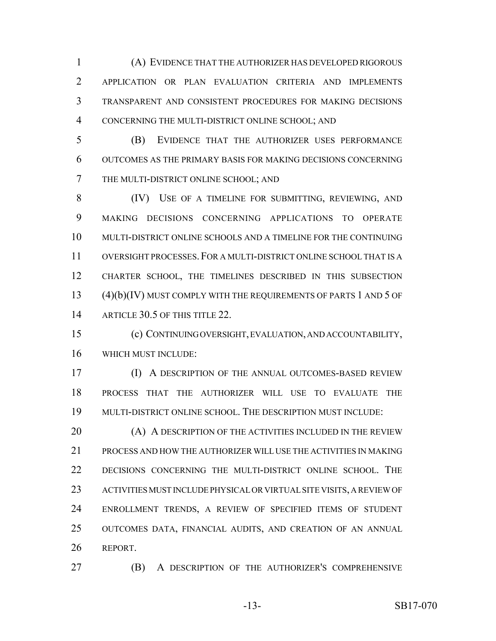(A) EVIDENCE THAT THE AUTHORIZER HAS DEVELOPED RIGOROUS APPLICATION OR PLAN EVALUATION CRITERIA AND IMPLEMENTS TRANSPARENT AND CONSISTENT PROCEDURES FOR MAKING DECISIONS CONCERNING THE MULTI-DISTRICT ONLINE SCHOOL; AND

 (B) EVIDENCE THAT THE AUTHORIZER USES PERFORMANCE OUTCOMES AS THE PRIMARY BASIS FOR MAKING DECISIONS CONCERNING THE MULTI-DISTRICT ONLINE SCHOOL; AND

 (IV) USE OF A TIMELINE FOR SUBMITTING, REVIEWING, AND MAKING DECISIONS CONCERNING APPLICATIONS TO OPERATE MULTI-DISTRICT ONLINE SCHOOLS AND A TIMELINE FOR THE CONTINUING OVERSIGHT PROCESSES.FOR A MULTI-DISTRICT ONLINE SCHOOL THAT IS A CHARTER SCHOOL, THE TIMELINES DESCRIBED IN THIS SUBSECTION (4)(b)(IV) MUST COMPLY WITH THE REQUIREMENTS OF PARTS 1 AND 5 OF 14 ARTICLE 30.5 OF THIS TITLE 22.

 (c) CONTINUING OVERSIGHT, EVALUATION, AND ACCOUNTABILITY, WHICH MUST INCLUDE:

 (I) A DESCRIPTION OF THE ANNUAL OUTCOMES-BASED REVIEW PROCESS THAT THE AUTHORIZER WILL USE TO EVALUATE THE MULTI-DISTRICT ONLINE SCHOOL. THE DESCRIPTION MUST INCLUDE:

**(A) A DESCRIPTION OF THE ACTIVITIES INCLUDED IN THE REVIEW**  PROCESS AND HOW THE AUTHORIZER WILL USE THE ACTIVITIES IN MAKING DECISIONS CONCERNING THE MULTI-DISTRICT ONLINE SCHOOL. THE ACTIVITIES MUST INCLUDE PHYSICAL OR VIRTUAL SITE VISITS, A REVIEW OF ENROLLMENT TRENDS, A REVIEW OF SPECIFIED ITEMS OF STUDENT OUTCOMES DATA, FINANCIAL AUDITS, AND CREATION OF AN ANNUAL REPORT.

(B) A DESCRIPTION OF THE AUTHORIZER'S COMPREHENSIVE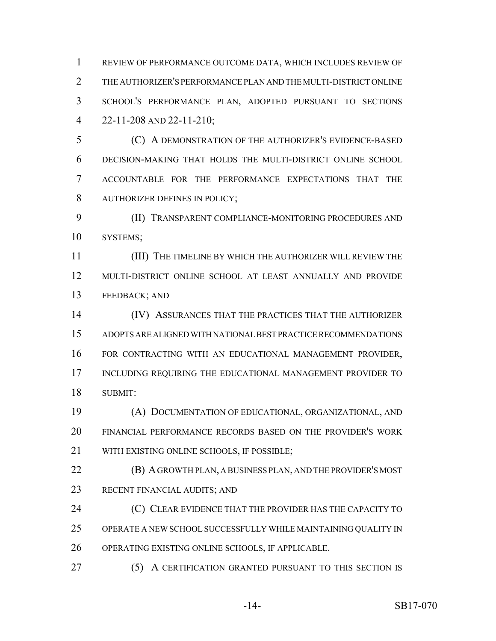REVIEW OF PERFORMANCE OUTCOME DATA, WHICH INCLUDES REVIEW OF THE AUTHORIZER'S PERFORMANCE PLAN AND THE MULTI-DISTRICT ONLINE SCHOOL'S PERFORMANCE PLAN, ADOPTED PURSUANT TO SECTIONS 22-11-208 AND 22-11-210;

 (C) A DEMONSTRATION OF THE AUTHORIZER'S EVIDENCE-BASED DECISION-MAKING THAT HOLDS THE MULTI-DISTRICT ONLINE SCHOOL ACCOUNTABLE FOR THE PERFORMANCE EXPECTATIONS THAT THE AUTHORIZER DEFINES IN POLICY;

 (II) TRANSPARENT COMPLIANCE-MONITORING PROCEDURES AND SYSTEMS;

 (III) THE TIMELINE BY WHICH THE AUTHORIZER WILL REVIEW THE MULTI-DISTRICT ONLINE SCHOOL AT LEAST ANNUALLY AND PROVIDE FEEDBACK; AND

 (IV) ASSURANCES THAT THE PRACTICES THAT THE AUTHORIZER ADOPTS ARE ALIGNED WITH NATIONAL BEST PRACTICE RECOMMENDATIONS FOR CONTRACTING WITH AN EDUCATIONAL MANAGEMENT PROVIDER, INCLUDING REQUIRING THE EDUCATIONAL MANAGEMENT PROVIDER TO SUBMIT:

 (A) DOCUMENTATION OF EDUCATIONAL, ORGANIZATIONAL, AND FINANCIAL PERFORMANCE RECORDS BASED ON THE PROVIDER'S WORK 21 WITH EXISTING ONLINE SCHOOLS, IF POSSIBLE:

 (B) A GROWTH PLAN, A BUSINESS PLAN, AND THE PROVIDER'S MOST RECENT FINANCIAL AUDITS; AND

**(C) CLEAR EVIDENCE THAT THE PROVIDER HAS THE CAPACITY TO**  OPERATE A NEW SCHOOL SUCCESSFULLY WHILE MAINTAINING QUALITY IN OPERATING EXISTING ONLINE SCHOOLS, IF APPLICABLE.

(5) A CERTIFICATION GRANTED PURSUANT TO THIS SECTION IS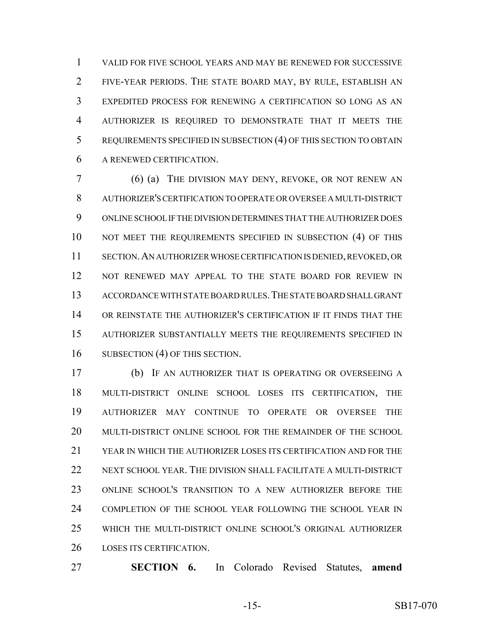VALID FOR FIVE SCHOOL YEARS AND MAY BE RENEWED FOR SUCCESSIVE FIVE-YEAR PERIODS. THE STATE BOARD MAY, BY RULE, ESTABLISH AN EXPEDITED PROCESS FOR RENEWING A CERTIFICATION SO LONG AS AN AUTHORIZER IS REQUIRED TO DEMONSTRATE THAT IT MEETS THE REQUIREMENTS SPECIFIED IN SUBSECTION (4) OF THIS SECTION TO OBTAIN A RENEWED CERTIFICATION.

 (6) (a) THE DIVISION MAY DENY, REVOKE, OR NOT RENEW AN AUTHORIZER'S CERTIFICATION TO OPERATE OR OVERSEE A MULTI-DISTRICT ONLINE SCHOOL IF THE DIVISION DETERMINES THAT THE AUTHORIZER DOES 10 NOT MEET THE REQUIREMENTS SPECIFIED IN SUBSECTION (4) OF THIS SECTION.AN AUTHORIZER WHOSE CERTIFICATION IS DENIED, REVOKED, OR NOT RENEWED MAY APPEAL TO THE STATE BOARD FOR REVIEW IN ACCORDANCE WITH STATE BOARD RULES.THE STATE BOARD SHALL GRANT OR REINSTATE THE AUTHORIZER'S CERTIFICATION IF IT FINDS THAT THE AUTHORIZER SUBSTANTIALLY MEETS THE REQUIREMENTS SPECIFIED IN 16 SUBSECTION (4) OF THIS SECTION.

 (b) IF AN AUTHORIZER THAT IS OPERATING OR OVERSEEING A MULTI-DISTRICT ONLINE SCHOOL LOSES ITS CERTIFICATION, THE AUTHORIZER MAY CONTINUE TO OPERATE OR OVERSEE THE MULTI-DISTRICT ONLINE SCHOOL FOR THE REMAINDER OF THE SCHOOL YEAR IN WHICH THE AUTHORIZER LOSES ITS CERTIFICATION AND FOR THE NEXT SCHOOL YEAR. THE DIVISION SHALL FACILITATE A MULTI-DISTRICT ONLINE SCHOOL'S TRANSITION TO A NEW AUTHORIZER BEFORE THE COMPLETION OF THE SCHOOL YEAR FOLLOWING THE SCHOOL YEAR IN WHICH THE MULTI-DISTRICT ONLINE SCHOOL'S ORIGINAL AUTHORIZER LOSES ITS CERTIFICATION.

**SECTION 6.** In Colorado Revised Statutes, **amend**

-15- SB17-070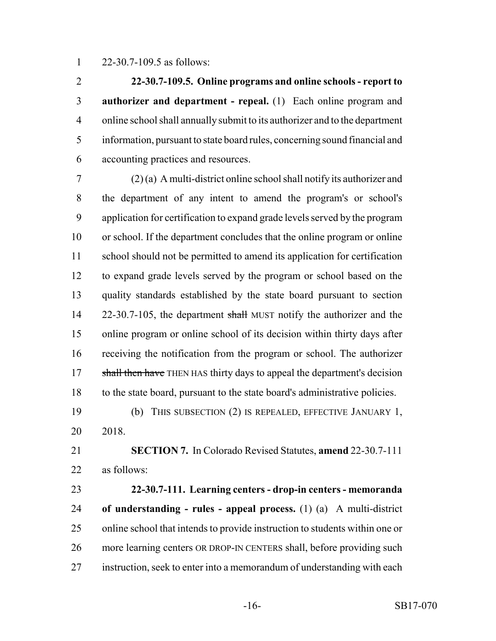22-30.7-109.5 as follows:

 **22-30.7-109.5. Online programs and online schools - report to authorizer and department - repeal.** (1) Each online program and online school shall annually submit to its authorizer and to the department information, pursuant to state board rules, concerning sound financial and accounting practices and resources.

 (2) (a) A multi-district online school shall notify its authorizer and the department of any intent to amend the program's or school's application for certification to expand grade levels served by the program or school. If the department concludes that the online program or online school should not be permitted to amend its application for certification to expand grade levels served by the program or school based on the quality standards established by the state board pursuant to section 14 22-30.7-105, the department shall MUST notify the authorizer and the online program or online school of its decision within thirty days after receiving the notification from the program or school. The authorizer 17 shall then have THEN HAS thirty days to appeal the department's decision to the state board, pursuant to the state board's administrative policies.

 (b) THIS SUBSECTION (2) IS REPEALED, EFFECTIVE JANUARY 1, 2018.

 **SECTION 7.** In Colorado Revised Statutes, **amend** 22-30.7-111 as follows:

 **22-30.7-111. Learning centers - drop-in centers - memoranda of understanding - rules - appeal process.** (1) (a) A multi-district online school that intends to provide instruction to students within one or more learning centers OR DROP-IN CENTERS shall, before providing such instruction, seek to enter into a memorandum of understanding with each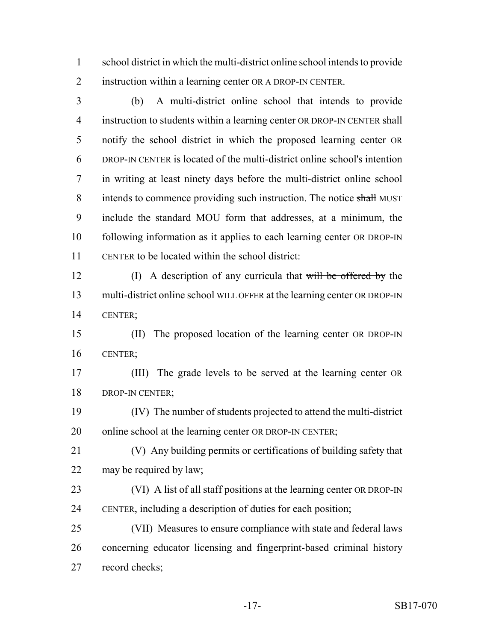school district in which the multi-district online school intends to provide instruction within a learning center OR A DROP-IN CENTER.

 (b) A multi-district online school that intends to provide instruction to students within a learning center OR DROP-IN CENTER shall notify the school district in which the proposed learning center OR DROP-IN CENTER is located of the multi-district online school's intention in writing at least ninety days before the multi-district online school 8 intends to commence providing such instruction. The notice shall MUST include the standard MOU form that addresses, at a minimum, the following information as it applies to each learning center OR DROP-IN CENTER to be located within the school district:

12 (I) A description of any curricula that will be offered by the multi-district online school WILL OFFER at the learning center OR DROP-IN CENTER;

 (II) The proposed location of the learning center OR DROP-IN CENTER;

 (III) The grade levels to be served at the learning center OR DROP-IN CENTER;

 (IV) The number of students projected to attend the multi-district 20 online school at the learning center OR DROP-IN CENTER;

 (V) Any building permits or certifications of building safety that may be required by law;

 (VI) A list of all staff positions at the learning center OR DROP-IN CENTER, including a description of duties for each position;

 (VII) Measures to ensure compliance with state and federal laws concerning educator licensing and fingerprint-based criminal history record checks;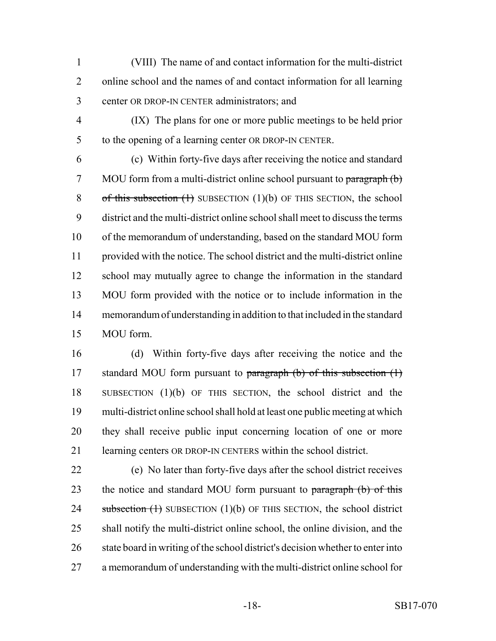(VIII) The name of and contact information for the multi-district online school and the names of and contact information for all learning center OR DROP-IN CENTER administrators; and

 (IX) The plans for one or more public meetings to be held prior to the opening of a learning center OR DROP-IN CENTER.

 (c) Within forty-five days after receiving the notice and standard 7 MOU form from a multi-district online school pursuant to paragraph (b) 8 of this subsection  $(1)$  SUBSECTION  $(1)(b)$  OF THIS SECTION, the school district and the multi-district online school shall meet to discuss the terms of the memorandum of understanding, based on the standard MOU form provided with the notice. The school district and the multi-district online school may mutually agree to change the information in the standard MOU form provided with the notice or to include information in the memorandum of understanding in addition to that included in the standard MOU form.

 (d) Within forty-five days after receiving the notice and the 17 standard MOU form pursuant to paragraph (b) of this subsection (1) SUBSECTION (1)(b) OF THIS SECTION, the school district and the multi-district online school shall hold at least one public meeting at which they shall receive public input concerning location of one or more learning centers OR DROP-IN CENTERS within the school district.

 (e) No later than forty-five days after the school district receives 23 the notice and standard MOU form pursuant to paragraph (b) of this 24 subsection  $(1)$  SUBSECTION  $(1)(b)$  OF THIS SECTION, the school district shall notify the multi-district online school, the online division, and the 26 state board in writing of the school district's decision whether to enter into a memorandum of understanding with the multi-district online school for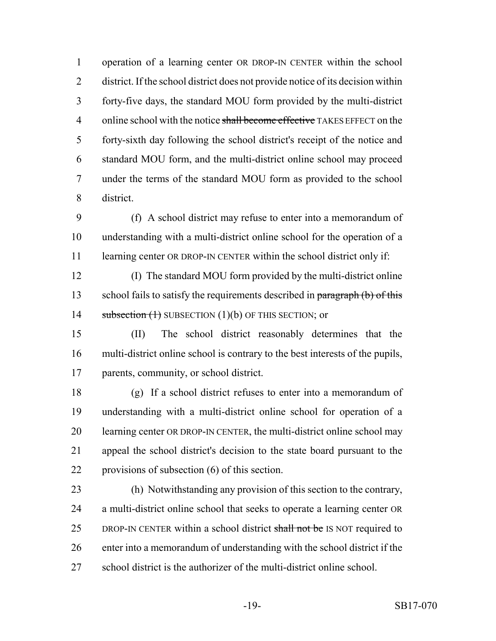operation of a learning center OR DROP-IN CENTER within the school district. If the school district does not provide notice of its decision within forty-five days, the standard MOU form provided by the multi-district 4 online school with the notice shall become effective TAKES EFFECT on the forty-sixth day following the school district's receipt of the notice and standard MOU form, and the multi-district online school may proceed under the terms of the standard MOU form as provided to the school district.

 (f) A school district may refuse to enter into a memorandum of understanding with a multi-district online school for the operation of a 11 learning center OR DROP-IN CENTER within the school district only if:

 (I) The standard MOU form provided by the multi-district online 13 school fails to satisfy the requirements described in paragraph (b) of this 14 subsection (1) SUBSECTION (1)(b) OF THIS SECTION; or

 (II) The school district reasonably determines that the multi-district online school is contrary to the best interests of the pupils, parents, community, or school district.

 (g) If a school district refuses to enter into a memorandum of understanding with a multi-district online school for operation of a learning center OR DROP-IN CENTER, the multi-district online school may appeal the school district's decision to the state board pursuant to the provisions of subsection (6) of this section.

 (h) Notwithstanding any provision of this section to the contrary, a multi-district online school that seeks to operate a learning center OR 25 DROP-IN CENTER within a school district shall not be IS NOT required to enter into a memorandum of understanding with the school district if the school district is the authorizer of the multi-district online school.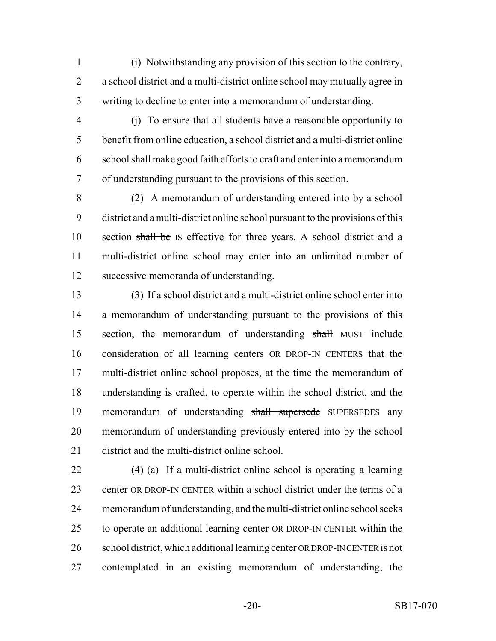(i) Notwithstanding any provision of this section to the contrary, a school district and a multi-district online school may mutually agree in writing to decline to enter into a memorandum of understanding.

 (j) To ensure that all students have a reasonable opportunity to benefit from online education, a school district and a multi-district online school shall make good faith efforts to craft and enter into a memorandum of understanding pursuant to the provisions of this section.

 (2) A memorandum of understanding entered into by a school district and a multi-district online school pursuant to the provisions of this 10 section shall be IS effective for three years. A school district and a multi-district online school may enter into an unlimited number of successive memoranda of understanding.

 (3) If a school district and a multi-district online school enter into a memorandum of understanding pursuant to the provisions of this section, the memorandum of understanding shall MUST include consideration of all learning centers OR DROP-IN CENTERS that the multi-district online school proposes, at the time the memorandum of understanding is crafted, to operate within the school district, and the memorandum of understanding shall supersede SUPERSEDES any memorandum of understanding previously entered into by the school district and the multi-district online school.

 (4) (a) If a multi-district online school is operating a learning center OR DROP-IN CENTER within a school district under the terms of a memorandum of understanding, and the multi-district online school seeks to operate an additional learning center OR DROP-IN CENTER within the school district, which additional learning center OR DROP-IN CENTER is not contemplated in an existing memorandum of understanding, the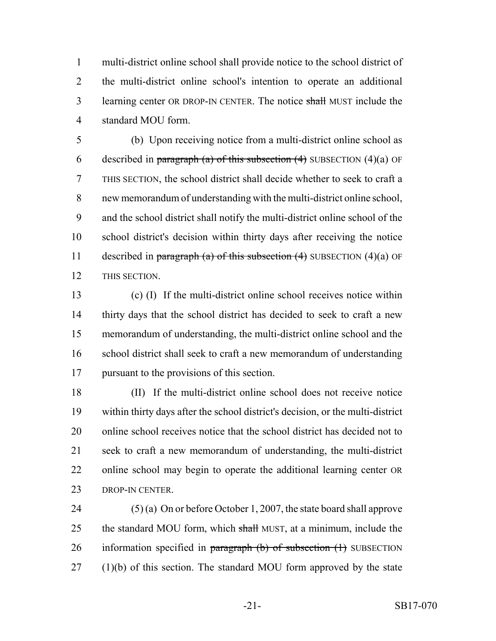multi-district online school shall provide notice to the school district of the multi-district online school's intention to operate an additional 3 learning center OR DROP-IN CENTER. The notice shall MUST include the standard MOU form.

 (b) Upon receiving notice from a multi-district online school as 6 described in paragraph (a) of this subsection  $(4)$  SUBSECTION  $(4)(a)$  OF THIS SECTION, the school district shall decide whether to seek to craft a new memorandum of understanding with the multi-district online school, and the school district shall notify the multi-district online school of the school district's decision within thirty days after receiving the notice 11 described in paragraph (a) of this subsection  $(4)$  SUBSECTION  $(4)(a)$  OF THIS SECTION.

 (c) (I) If the multi-district online school receives notice within 14 thirty days that the school district has decided to seek to craft a new memorandum of understanding, the multi-district online school and the school district shall seek to craft a new memorandum of understanding pursuant to the provisions of this section.

 (II) If the multi-district online school does not receive notice within thirty days after the school district's decision, or the multi-district online school receives notice that the school district has decided not to seek to craft a new memorandum of understanding, the multi-district online school may begin to operate the additional learning center OR 23 DROP-IN CENTER.

 (5) (a) On or before October 1, 2007, the state board shall approve 25 the standard MOU form, which shall MUST, at a minimum, include the 26 information specified in paragraph  $(b)$  of subsection  $(1)$  SUBSECTION (1)(b) of this section. The standard MOU form approved by the state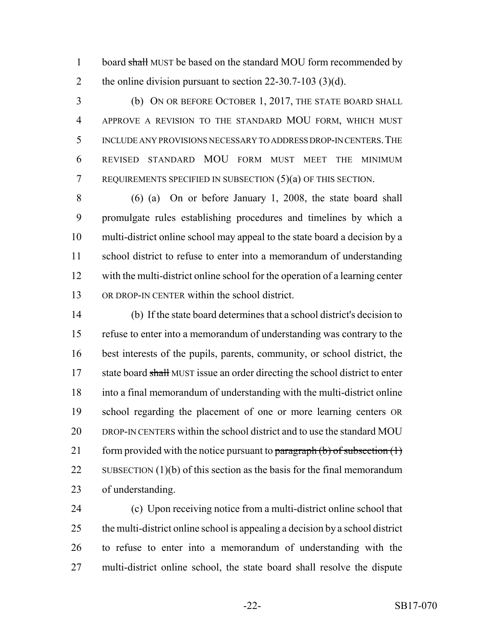1 board shall MUST be based on the standard MOU form recommended by 2 the online division pursuant to section 22-30.7-103 (3)(d).

 (b) ON OR BEFORE OCTOBER 1, 2017, THE STATE BOARD SHALL APPROVE A REVISION TO THE STANDARD MOU FORM, WHICH MUST INCLUDE ANY PROVISIONS NECESSARY TO ADDRESS DROP-IN CENTERS.THE REVISED STANDARD MOU FORM MUST MEET THE MINIMUM REQUIREMENTS SPECIFIED IN SUBSECTION (5)(a) OF THIS SECTION.

 (6) (a) On or before January 1, 2008, the state board shall promulgate rules establishing procedures and timelines by which a multi-district online school may appeal to the state board a decision by a school district to refuse to enter into a memorandum of understanding with the multi-district online school for the operation of a learning center OR DROP-IN CENTER within the school district.

 (b) If the state board determines that a school district's decision to refuse to enter into a memorandum of understanding was contrary to the best interests of the pupils, parents, community, or school district, the 17 state board shall MUST issue an order directing the school district to enter into a final memorandum of understanding with the multi-district online school regarding the placement of one or more learning centers OR DROP-IN CENTERS within the school district and to use the standard MOU 21 form provided with the notice pursuant to paragraph  $(b)$  of subsection  $(1)$ 22 SUBSECTION  $(1)(b)$  of this section as the basis for the final memorandum of understanding.

 (c) Upon receiving notice from a multi-district online school that the multi-district online school is appealing a decision by a school district to refuse to enter into a memorandum of understanding with the multi-district online school, the state board shall resolve the dispute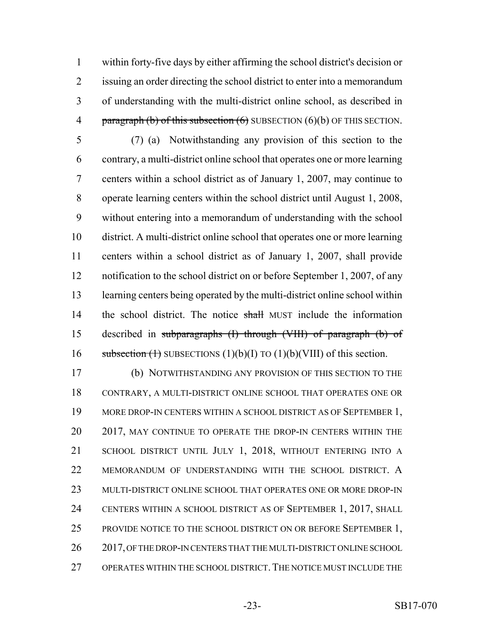within forty-five days by either affirming the school district's decision or issuing an order directing the school district to enter into a memorandum of understanding with the multi-district online school, as described in 4 paragraph (b) of this subsection  $(6)$  SUBSECTION  $(6)(b)$  OF THIS SECTION.

 (7) (a) Notwithstanding any provision of this section to the contrary, a multi-district online school that operates one or more learning centers within a school district as of January 1, 2007, may continue to operate learning centers within the school district until August 1, 2008, without entering into a memorandum of understanding with the school district. A multi-district online school that operates one or more learning centers within a school district as of January 1, 2007, shall provide notification to the school district on or before September 1, 2007, of any learning centers being operated by the multi-district online school within 14 the school district. The notice shall MUST include the information described in subparagraphs (I) through (VIII) of paragraph (b) of 16 subsection (1) SUBSECTIONS  $(1)(b)(I)$  TO  $(1)(b)(VIII)$  of this section.

 (b) NOTWITHSTANDING ANY PROVISION OF THIS SECTION TO THE CONTRARY, A MULTI-DISTRICT ONLINE SCHOOL THAT OPERATES ONE OR 19 MORE DROP-IN CENTERS WITHIN A SCHOOL DISTRICT AS OF SEPTEMBER 1, 20 2017, MAY CONTINUE TO OPERATE THE DROP-IN CENTERS WITHIN THE SCHOOL DISTRICT UNTIL JULY 1, 2018, WITHOUT ENTERING INTO A MEMORANDUM OF UNDERSTANDING WITH THE SCHOOL DISTRICT. A MULTI-DISTRICT ONLINE SCHOOL THAT OPERATES ONE OR MORE DROP-IN CENTERS WITHIN A SCHOOL DISTRICT AS OF SEPTEMBER 1, 2017, SHALL 25 PROVIDE NOTICE TO THE SCHOOL DISTRICT ON OR BEFORE SEPTEMBER 1, 26 2017, OF THE DROP-IN CENTERS THAT THE MULTI-DISTRICT ONLINE SCHOOL OPERATES WITHIN THE SCHOOL DISTRICT.THE NOTICE MUST INCLUDE THE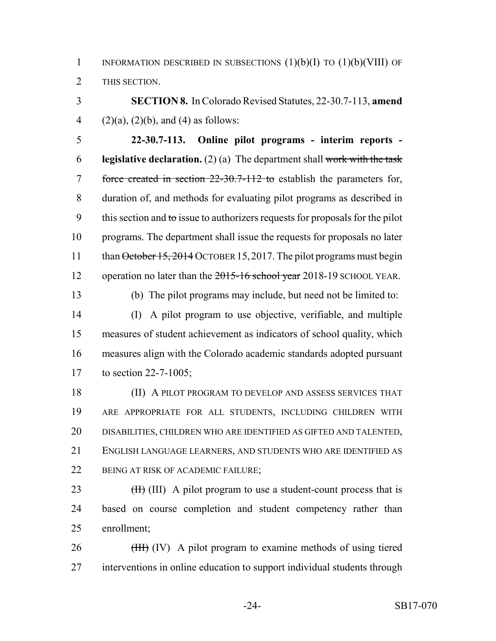1 INFORMATION DESCRIBED IN SUBSECTIONS  $(1)(b)(I)$  TO  $(1)(b)(VIII)$  OF THIS SECTION.

 **SECTION 8.** In Colorado Revised Statutes, 22-30.7-113, **amend** 4 (2)(a), (2)(b), and (4) as follows:

 **22-30.7-113. Online pilot programs - interim reports - legislative declaration.** (2) (a) The department shall work with the task 7 force created in section 22-30.7-112 to establish the parameters for, duration of, and methods for evaluating pilot programs as described in 9 this section and to issue to authorizers requests for proposals for the pilot programs. The department shall issue the requests for proposals no later 11 than October 15, 2014 OCTOBER 15, 2017. The pilot programs must begin 12 operation no later than the 2015-16 school year 2018-19 SCHOOL YEAR.

(b) The pilot programs may include, but need not be limited to:

 (I) A pilot program to use objective, verifiable, and multiple measures of student achievement as indicators of school quality, which measures align with the Colorado academic standards adopted pursuant to section 22-7-1005;

 (II) A PILOT PROGRAM TO DEVELOP AND ASSESS SERVICES THAT ARE APPROPRIATE FOR ALL STUDENTS, INCLUDING CHILDREN WITH DISABILITIES, CHILDREN WHO ARE IDENTIFIED AS GIFTED AND TALENTED, ENGLISH LANGUAGE LEARNERS, AND STUDENTS WHO ARE IDENTIFIED AS 22 BEING AT RISK OF ACADEMIC FAILURE;

23  $(H)$  (III) A pilot program to use a student-count process that is based on course completion and student competency rather than enrollment;

26 (HH) (IV) A pilot program to examine methods of using tiered interventions in online education to support individual students through